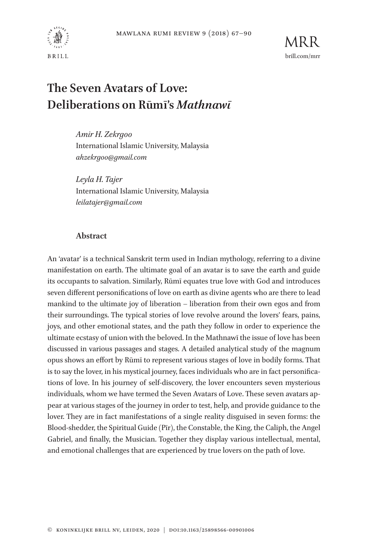

# **The Seven Avatars of Love: Deliberations on Rūmī's** *Mathnawī*

*Amir H. Zekrgoo* International Islamic University, Malaysia *ahzekrgoo@gmail.com*

*Leyla H. Tajer* International Islamic University, Malaysia *leilatajer@gmail.com*

# **Abstract**

An 'avatar' is a technical Sanskrit term used in Indian mythology, referring to a divine manifestation on earth. The ultimate goal of an avatar is to save the earth and guide its occupants to salvation. Similarly, Rūmī equates true love with God and introduces seven different personifications of love on earth as divine agents who are there to lead mankind to the ultimate joy of liberation – liberation from their own egos and from their surroundings. The typical stories of love revolve around the lovers' fears, pains, joys, and other emotional states, and the path they follow in order to experience the ultimate ecstasy of union with the beloved. In the Mathnawī the issue of love has been discussed in various passages and stages. A detailed analytical study of the magnum opus shows an effort by Rūmī to represent various stages of love in bodily forms. That is to say the lover, in his mystical journey, faces individuals who are in fact personifications of love. In his journey of self-discovery, the lover encounters seven mysterious individuals, whom we have termed the Seven Avatars of Love. These seven avatars appear at various stages of the journey in order to test, help, and provide guidance to the lover. They are in fact manifestations of a single reality disguised in seven forms: the Blood-shedder, the Spiritual Guide (Pīr), the Constable, the King, the Caliph, the Angel Gabriel, and finally, the Musician. Together they display various intellectual, mental, and emotional challenges that are experienced by true lovers on the path of love.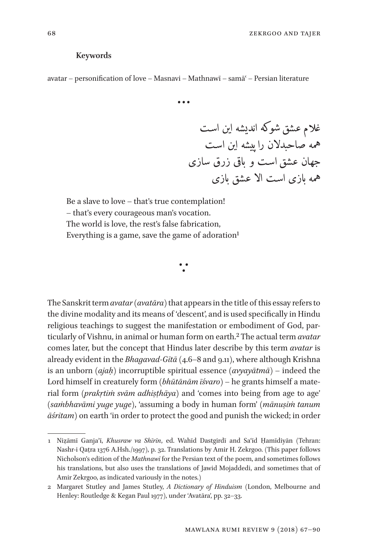## Keywords

avatar - personification of love - Masnavi - Mathnawī - samā' - Persian literature

 $...$ 

غلام عشق شوكه انديشه اين است همه صاحبدلان را پیشه این است جهان عشق است و پاقی زرق سازی همه بازی است الا عشق بازی

Be a slave to love - that's true contemplation! - that's every courageous man's vocation. The world is love, the rest's false fabrication, Everything is a game, save the game of adoration<sup>1</sup>

The Sanskrit term *avatar* (*avatāra*) that appears in the title of this essay refers to the divine modality and its means of 'descent', and is used specifically in Hindu religious teachings to suggest the manifestation or embodiment of God, particularly of Vishnu, in animal or human form on earth.<sup>2</sup> The actual term *avatar* comes later, but the concept that Hindus later describe by this term avatar is already evident in the Bhagavad-Gītā (4.6–8 and 9.11), where although Krishna is an unborn  $(a<sub>j</sub>ah)$  incorruptible spiritual essence  $(avyay\bar{a}tm\bar{a})$  – indeed the Lord himself in creaturely form (bhūtānām īśvaro) – he grants himself a material form (prakrtim svām adhisthāya) and 'comes into being from age to age' (sambhavāmi yuge yuge), 'assuming a body in human form' (mānusim tanum āśritam) on earth 'in order to protect the good and punish the wicked; in order

<sup>1</sup> Nizāmī Ganja'ī, Khusraw va Shīrīn, ed. Wahīd Dastgirdī and Sa'īd Hamīdiyān (Tehran: Nashr-i Qatra 1376 A.Hsh./1997), p. 32. Translations by Amir H. Zekrgoo. (This paper follows Nicholson's edition of the Mathnawī for the Persian text of the poem, and sometimes follows his translations, but also uses the translations of Jawid Mojaddedi, and sometimes that of Amir Zekrgoo, as indicated variously in the notes.)

<sup>2</sup> Margaret Stutley and James Stutley, A Dictionary of Hinduism (London, Melbourne and Henley: Routledge & Kegan Paul 1977), under 'Avatāra', pp. 32-33.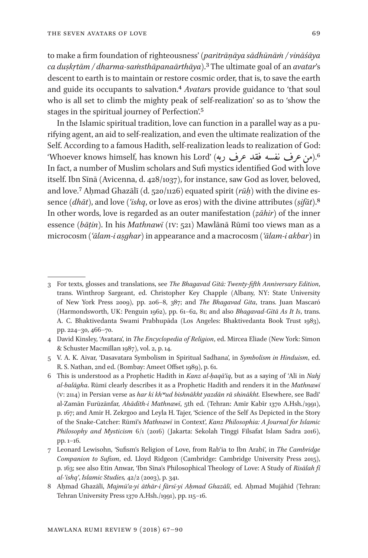to make a firm foundation of righteousness' (*paritrāṇāya sādhūnāṁ / vināśāya ca duṣkṛtām / dharma-saṁsthāpanaārthāya*).3 The ultimate goal of an *avatar*'s descent to earth is to maintain or restore cosmic order, that is, to save the earth and guide its occupants to salvation.4 *Avatar*s provide guidance to 'that soul who is all set to climb the mighty peak of self-realization' so as to 'show the stages in the spiritual journey of Perfection'.5

In the Islamic spiritual tradition, love can function in a parallel way as a purifying agent, an aid to self-realization, and even the ultimate realization of the Self. According to a famous Hadith, self-realization leads to realization of God: : امن عرف نفسه فقد عرف ربه) 'Whoever knows himself, has known his Lord' ن � ا<br>ا .<br>: ف ن ن � In fact, a number of Muslim scholars and Sufi mystics identified God with love itself. Ibn Sīnā (Avicenna, d. 428/1037), for instance, saw God as lover, beloved, and love.7 Aḥmad Ghazālī (d. 520/1126) equated spirit *(rūḥ)* with the divine essence (*dhāt*), and love (*ʿishq*, or love as eros) with the divine attributes (*ṣifāt*).8 In other words, love is regarded as an outer manifestation (*ẓāhir*) of the inner essence (*bāṭin*). In his *Mathnawī* (IV: 521) Mawlānā Rūmī too views man as a microcosm (*ʿālam-i aṣghar)* in appearance and a macrocosm (*ʿālam-i akbar*) in

<sup>3</sup> For texts, glosses and translations, see *The Bhagavad Gītā: Twenty-fifth Anniversary Edition*, trans. Winthrop Sargeant, ed. Christopher Key Chapple (Albany, NY: State University of New York Press 2009), pp. 206–8, 387; and *The Bhagavad Gita*, trans. Juan Mascaró (Harmondsworth, UK: Penguin 1962), pp. 61–62, 81; and also *Bhagavad-Gītā As It Is*, trans. A. C. Bhaktivedanta Swami Prabhupāda (Los Angeles: Bhaktivedanta Book Trust 1983), pp. 224–30, 466–70.

<sup>4</sup> David Kinsley, 'Avatara', in *The Encyclopedia of Religion*, ed. Mircea Eliade (New York: Simon & Schuster Macmillan 1987), vol. 2, p. 14.

<sup>5</sup> V. A. K. Aivar, 'Dasavatara Symbolism in Spiritual Sadhana', in *Symbolism in Hinduism*, ed. R. S. Nathan, 2nd ed. (Bombay: Ameet Offset 1989), p. 61.

<sup>6</sup> This is understood as a Prophetic Hadith in *Kanz al-ḥaqāʾiq*, but as a saying of ʿAlī in *Nahj al-balāgha*. Rūmī clearly describes it as a Prophetic Hadith and renders it in the *Mathnawī* (V: 2114) in Persian verse as *har ki khwud bishnākht yazdān rā shinākht.* Elsewhere, see Badīʿ al-Zamān Furūzānfar, *Ahādīth-i Mathnawī*, 5th ed. (Tehran: Amīr Kabīr 1370 A.Hsh./1991), p. 167; and Amir H. Zekrgoo and Leyla H. Tajer, 'Science of the Self As Depicted in the Story of the Snake-Catcher: Rūmī's *Mathnawī* in Context', *Kanz Philosophia: A Journal for Islamic Philosophy and Mysticism* 6/1 (2016) (Jakarta: Sekolah Tinggi Filsafat Islam Sadra 2016), pp. 1–16.

<sup>7</sup> Leonard Lewisohn, 'Sufism's Religion of Love, from Rabʿia to Ibn Arabi', in *The Cambridge Companion to Sufism*, ed. Lloyd Ridgeon (Cambridge: Cambridge University Press 2015), p. 163; see also Etin Anwar, 'Ibn Sīna's Philosophical Theology of Love: A Study of *Risālah fī al-ʿishq'*, *Islamic Studies,* 42/2 (2003), p. 341.

<sup>8</sup> Aḥmad Ghazālī, *Majmūʿa-yi āthār-i fārsī-yi Aḥmad Ghazālī*, ed. Aḥmad Mujāhid (Tehran: Tehran University Press 1370 A.Hsh./1991), pp. 115–16.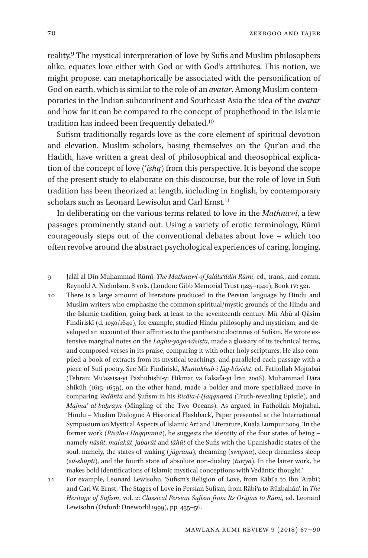reality.9 The mystical interpretation of love by Sufis and Muslim philosophers alike, equates love either with God or with God's attributes. This notion, we might propose, can metaphorically be associated with the personification of God on earth, which is similar to the role of an *avatar*. Among Muslim contemporaries in the Indian subcontinent and Southeast Asia the idea of the *avatar* and how far it can be compared to the concept of prophethood in the Islamic tradition has indeed been frequently debated.10

Sufism traditionally regards love as the core element of spiritual devotion and elevation. Muslim scholars, basing themselves on the Qurʾān and the Hadith, have written a great deal of philosophical and theosophical explication of the concept of love (ʿ*ishq*) from this perspective. It is beyond the scope of the present study to elaborate on this discourse, but the role of love in Sufi tradition has been theorized at length, including in English, by contemporary scholars such as Leonard Lewisohn and Carl Ernst.<sup>11</sup>

In deliberating on the various terms related to love in the *Mathnawī*, a few passages prominently stand out. Using a variety of erotic terminology, Rūmī courageously steps out of the conventional debates about love – which too often revolve around the abstract psychological experiences of caring, longing,

10 There is a large amount of literature produced in the Persian language by Hindu and Muslim writers who emphasize the common spiritual/mystic grounds of the Hindu and the Islamic tradition, going back at least to the seventeenth century. Mīr Abū al-Qāsim Findiriskī (d. 1050/1640), for example, studied Hindu philosophy and mysticism, and developed an account of their affinities to the pantheistic doctrines of Sufism. He wrote extensive marginal notes on the *Laghu-yoga-vāsiṣṭa*, made a glossary of its technical terms, and composed verses in its praise, comparing it with other holy scriptures. He also compiled a book of extracts from its mystical teachings, and paralleled each passage with a piece of Sufi poetry. See Mīr Findiriskī, *Muntakhab-i Jūg-bāsisht*, ed. Fathollah Mojtabai (Tehran: Muʾassisa-yi Pazhūhishī-yi Ḥikmat va Falsafa-yi Īrān 2006). Muḥammad Dārā Shikūh (1615–1659), on the other hand, made a bolder and more specialized move in comparing *Vedānta* and Ṣufism in his *Risāla-i-Ḥaqqnamā* (Truth-revealing Epistle), and *Majmaʿ al-baḥrayn* (Mingling of the Two Oceans). As argued in Fathollah Mojtabai, 'Hindu – Muslim Dialogue: A Historical Flashback', Paper presented at the International Symposium on Mystical Aspects of Islamic Art and Literature, Kuala Lumpur 2009, 'In the former work (*Risāla-i Ḥaqqnamā*), he suggests the identity of the four states of being – namely *nāsūt*, *malakūt*, *jabarūt* and *lāhūt* of the Sufis with the Upanishadic states of the soul, namely, the states of waking *( jāgrana)*, dreaming (*swapna*), deep dreamless sleep (*su-shupti*), and the fourth state of absolute non-duality (*turiya*). In the latter work, he makes bold identifications of Islamic mystical conceptions with Vedāntic thought.'

11 For example, Leonard Lewisohn, 'Sufism's Religion of Love, from Rābi'a to Ibn 'Arabī'; and Carl W. Ernst, 'The Stages of Love in Persian Sufism, from Rābiʿa to Rūzbahān', in *The Heritage of Sufism*, vol. 2: *Classical Persian Sufism from Its Origins to Rūmī*, ed. Leonard Lewisohn (Oxford: Oneworld 1999), pp. 435–56.

<sup>9</sup> Jalāl al-Dīn Muḥammad Rūmī, *The Mathnawí of Jaláluʾddín Rúmí*, ed., trans., and comm. Reynold A. Nicholson, 8 vols. (London: Gibb Memorial Trust 1925–1940), Book IV: 521.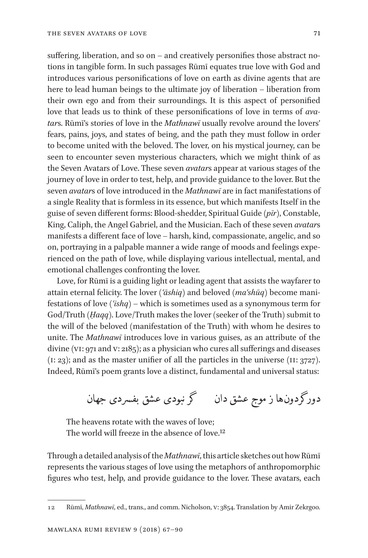suffering, liberation, and so on – and creatively personifies those abstract notions in tangible form. In such passages Rūmī equates true love with God and introduces various personifications of love on earth as divine agents that are here to lead human beings to the ultimate joy of liberation – liberation from their own ego and from their surroundings. It is this aspect of personified love that leads us to think of these personifications of love in terms of *avatar*s. Rūmī's stories of love in the *Mathnawī* usually revolve around the lovers' fears, pains, joys, and states of being, and the path they must follow in order to become united with the beloved. The lover, on his mystical journey, can be seen to encounter seven mysterious characters, which we might think of as the Seven Avatars of Love. These seven *avatar*s appear at various stages of the journey of love in order to test, help, and provide guidance to the lover. But the seven *avatar*s of love introduced in the *Mathnawī* are in fact manifestations of a single Reality that is formless in its essence, but which manifests Itself in the guise of seven different forms: Blood-shedder, Spiritual Guide (*pīr*), Constable, King, Caliph, the Angel Gabriel, and the Musician. Each of these seven *avatar*s manifests a different face of love – harsh, kind, compassionate, angelic, and so on, portraying in a palpable manner a wide range of moods and feelings experienced on the path of love, while displaying various intellectual, mental, and emotional challenges confronting the lover.

Love, for Rūmī is a guiding light or leading agent that assists the wayfarer to attain eternal felicity. The lover (*ʿāshiq*) and beloved (*maʿshūq*) become manifestations of love (*ʿishq*) – which is sometimes used as a synonymous term for God/Truth (*Ḥaqq*). Love/Truth makes the lover (seeker of the Truth) submit to the will of the beloved (manifestation of the Truth) with whom he desires to unite. The *Mathnawī* introduces love in various guises, as an attribute of the divine (VI: 971 and V: 2185); as a physician who cures all sufferings and diseases (I: 23); and as the master unifier of all the particles in the universe (II: 3727). Indeed, Rūmī's poem grants love a distinct, fundamental and universal status:

ن ��سرد�ی �� ن �ه�ا� ف �� ن ت � ش� د�ی �ع��� نو � ن ر � گ ن �� ت دا� ش� ز �مون� �ع��� ن �ه�ا د و� ر گ دور ��

The heavens rotate with the waves of love; The world will freeze in the absence of love.12

Through a detailed analysis of the *Mathnawī*, this article sketches out how Rūmī represents the various stages of love using the metaphors of anthropomorphic figures who test, help, and provide guidance to the lover. These avatars, each

<sup>12</sup> Rūmī, *Mathnawī*, ed., trans., and comm. Nicholson, V: 3854. Translation by Amir Zekrgoo.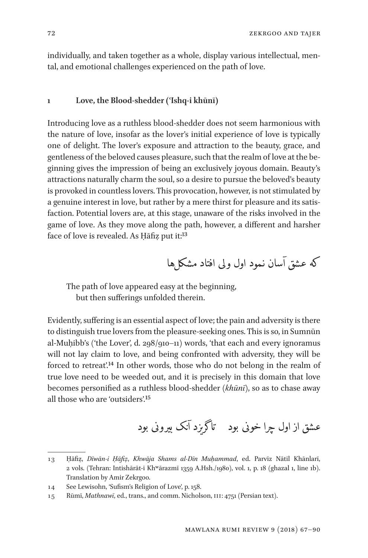individually, and taken together as a whole, display various intellectual, mental, and emotional challenges experienced on the path of love.

## **1 Love, the Blood-shedder (ʿIshq-i khūnī)**

Introducing love as a ruthless blood-shedder does not seem harmonious with the nature of love, insofar as the lover's initial experience of love is typically one of delight. The lover's exposure and attraction to the beauty, grace, and gentleness of the beloved causes pleasure, such that the realm of love at the beginning gives the impression of being an exclusively joyous domain. Beauty's attractions naturally charm the soul, so a desire to pursue the beloved's beauty is provoked in countless lovers. This provocation, however, is not stimulated by a genuine interest in love, but rather by a mere thirst for pleasure and its satisfaction. Potential lovers are, at this stage, unaware of the risks involved in the game of love. As they move along the path, however, a different and harsher face of love is revealed. As Hāfiz put it:<sup>13</sup>

ش ��ک�ل�ه�ا ت�ا د �م��� �� ن � لی ا� ��مود اول و ن ن � ��س�ا� ت آ ش� �ک�ه �ع���

The path of love appeared easy at the beginning, but then sufferings unfolded therein.

Evidently, suffering is an essential aspect of love; the pain and adversity is there to distinguish true lovers from the pleasure-seeking ones. This is so, in Sumnūn al-Muḥibb's ('the Lover', d. 298/910–11) words, 'that each and every ignoramus will not lay claim to love, and being confronted with adversity, they will be forced to retreat'.14 In other words, those who do not belong in the realm of true love need to be weeded out, and it is precisely in this domain that love becomes personified as a ruthless blood-shedder (*khūnī*), so as to chase away all those who are 'outsiders'.15

> ر<br>زیزد آنک بیرونی بود ن � ن .<br>Y <sub>عشق از اول چرا خونی بود تاگر</sub> � ن � خ زا

<sup>13</sup> Ḥāfiẓ, *Dīwān-i Ḥāfiẓ*, *Khwāja Shams al-Dīn Muḥammad*, ed. Parvīz Nātil Khānlarī, 2 vols. (Tehran: Intishārāt-i Khwārazmī 1359 A.Hsh./1980), vol. 1, p. 18 (ghazal 1, line 1b). Translation by Amir Zekrgoo.

<sup>14</sup> See Lewisohn, 'Sufism's Religion of Love', p. 158.

<sup>15</sup> Rūmī, *Mathnawī*, ed., trans., and comm. Nicholson, III: 4751 (Persian text).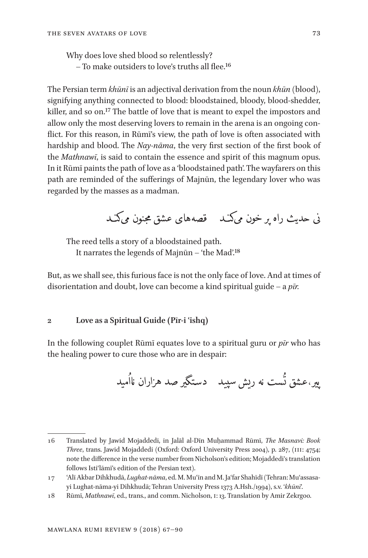Why does love shed blood so relentlessly? - To make outsiders to love's truths all flee.<sup>16</sup>

The Persian term *khūnī* is an adjectival derivation from the noun *khūn* (blood), signifying anything connected to blood: bloodstained, bloody, blood-shedder, killer, and so on.<sup>17</sup> The battle of love that is meant to expel the impostors and allow only the most deserving lovers to remain in the arena is an ongoing conflict. For this reason, in Rūmī's view, the path of love is often associated with hardship and blood. The Nay-nāma, the very first section of the first book of the *Mathnawi*, is said to contain the essence and spirit of this magnum opus. In it Rūmī paints the path of love as a 'bloodstained path'. The wayfarers on this path are reminded of the sufferings of Majnūn, the legendary lover who was regarded by the masses as a madman.

ني حدث راه ب<sub>ر</sub> خون مي کند \_ قصه هاي عشق محنون مي کند

The reed tells a story of a bloodstained path. It narrates the legends of Majnūn – 'the Mad'.<sup>18</sup>

But, as we shall see, this furious face is not the only face of love. And at times of disorientation and doubt, love can become a kind spiritual guide  $-$  a pir.

#### Love as a Spiritual Guide (Pīr-i 'ishq)  $\overline{2}$

In the following couplet Rūmī equates love to a spiritual guru or  $p\bar{u}$  who has the healing power to cure those who are in despair:

ییر،عشق تُست نه ریش سپید \_ دستگیر صد هزاران نااُمید

<sup>16</sup> Translated by Jawid Mojaddedi, in Jalāl al-Dīn Muhammad Rūmī, The Masnavi: Book Three, trans. Jawid Mojaddedi (Oxford: Oxford University Press 2004), p. 287, (III: 4754; note the difference in the verse number from Nicholson's edition; Mojaddedi's translation follows Isti'lämī's edition of the Persian text).

<sup>&#</sup>x27;Alī Akbar Dihkhudā, Lughat-nāma, ed. M. Mu'īn and M. Ja'far Shahīdī (Tehran: Mu'assasa- $17$ yi Lughat-nāma-yi Dihkhudā; Tehran University Press 1373 A.Hsh./1994), s.v. 'khūnī'.

Rūmī, Mathnawī, ed., trans., and comm. Nicholson, I: 13. Translation by Amir Zekrgoo. 18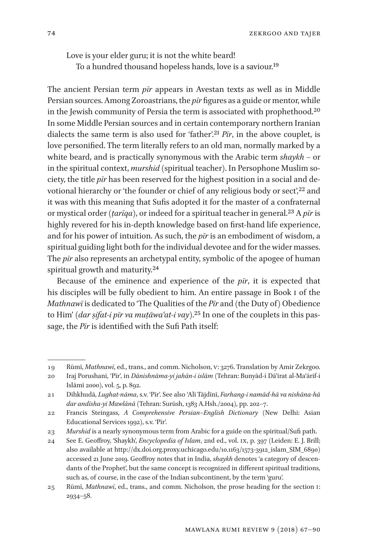Love is your elder guru; it is not the white beard! To a hundred thousand hopeless hands, love is a saviour.19

The ancient Persian term *pīr* appears in Avestan texts as well as in Middle Persian sources. Among Zoroastrians, the *pīr* figures as a guide or mentor, while in the Jewish community of Persia the term is associated with prophethood.20 In some Middle Persian sources and in certain contemporary northern Iranian dialects the same term is also used for 'father'.21 *Pīr*, in the above couplet, is love personified. The term literally refers to an old man, normally marked by a white beard, and is practically synonymous with the Arabic term *shaykh –* or in the spiritual context, *murshid* (spiritual teacher). In Persophone Muslim society, the title *pīr* has been reserved for the highest position in a social and devotional hierarchy or 'the founder or chief of any religious body or sect',<sup>22</sup> and it was with this meaning that Sufis adopted it for the master of a confraternal or mystical order (*ṭarīqa*), or indeed for a spiritual teacher in general.23 A *pīr* is highly revered for his in-depth knowledge based on first-hand life experience, and for his power of intuition. As such, the *pīr* is an embodiment of wisdom, a spiritual guiding light both for the individual devotee and for the wider masses. The *pīr* also represents an archetypal entity, symbolic of the apogee of human spiritual growth and maturity.24

Because of the eminence and experience of the *pīr*, it is expected that his disciples will be fully obedient to him. An entire passage in Book I of the *Mathnawī* is dedicated to 'The Qualities of the *Pīr* and (the Duty of) Obedience to Him' (*dar ṣifat-i pīr va muṭāwaʿat-i vay*).25 In one of the couplets in this passage, the *Pīr* is identified with the Sufi Path itself:

<sup>19</sup> Rūmī, *Mathnawī*, ed., trans., and comm. Nicholson, V: 3276. Translation by Amir Zekrgoo.

<sup>20</sup> Iraj Porushani, 'Pīr', in *Dānishnāma-yi jahān-i islām* (Tehran: Bunyād-i Dāʾirat al-Maʿārif-i Islāmī 2000), vol. 5, p. 892.

<sup>21</sup> Dihkhudā, *Lughat-nāma*,s.v. 'Pīr'. See also ʿAlī Tājdīnī, *Farhang-i namād-hā va nishāna-hā dar andīsha-yi Mawlānā* (Tehran: Surūsh, 1383 A.Hsh./2004), pp. 202–7.

<sup>22</sup> Francis Steingass, *A Comprehensive Persian–English Dictionary* (New Delhi: Asian Educational Services 1992), s.v. 'Pīr'.

<sup>23</sup> *Murshid* is a nearly synonymous term from Arabic for a guide on the spiritual/Sufi path.

<sup>24</sup> See E. Geoffroy, 'Shaykh', *Encyclopedia of Islam*, 2nd ed., vol. IX, p. 397 (Leiden: E. J. Brill; also available at http://dx.doi.org.proxy.uchicago.edu/10.1163/1573-3912\_islam\_SIM\_6890) accessed 21 June 2019. Geoffroy notes that in India, *shaykh* denotes 'a category of descendants of the Prophet', but the same concept is recognized in different spiritual traditions, such as, of course, in the case of the Indian subcontinent, by the term 'guru'.

<sup>25</sup> Rūmī, *Mathnawī*, ed., trans., and comm. Nicholson, the prose heading for the section I: 2934–58.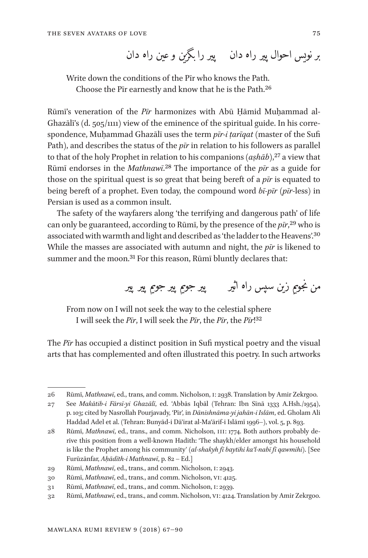ن اه دا� ن ر ی� ن و ع�� ی� ز� گ ن ��� ا � یر ر �� پ ن � اه دا� یر ر �� پ ال � ��س ا�حو ی � و ن نر � �

Write down the conditions of the Pīr who knows the Path. Choose the Pīr earnestly and know that he is the Path.26

Rūmī's veneration of the *Pīr* harmonizes with Abū Ḥāmid Muḥammad al-Ghazālī's (d. 505/1111) view of the eminence of the spiritual guide. In his correspondence, Muhammad Ghazālī uses the term *pīr-i tarīqat* (master of the Sufi Path), and describes the status of the *pīr* in relation to his followers as parallel to that of the holy Prophet in relation to his companions  $(ash\bar{a}b)^{27}$  a view that Rūmī endorses in the *Mathnawī*.28 The importance of the *pīr* as a guide for those on the spiritual quest is so great that being bereft of a *pīr* is equated to being bereft of a prophet. Even today, the compound word *bī-pīr* (*pīr*-less) in Persian is used as a common insult.

The safety of the wayfarers along 'the terrifying and dangerous path' of life can only be guaranteed, according to Rūmī, by the presence of the *pīr*,29 who is associated with warmth and light and described as 'the ladder to the Heavens'.30 While the masses are associated with autumn and night, the *pīr* is likened to summer and the moon.<sup>31</sup> For this reason, Rūmī bluntly declares that:

> من نجويم زين سپس راه اثير ہیں چويم پير جويم پير پير ن, ز ن

From now on I will not seek the way to the celestial sphere I will seek the *Pīr*, I will seek the *Pīr*, the *Pīr*, the *Pīr*!32

The *Pīr* has occupied a distinct position in Sufi mystical poetry and the visual arts that has complemented and often illustrated this poetry. In such artworks

<sup>26</sup> Rūmī, *Mathnawī*, ed., trans, and comm. Nicholson, I: 2938. Translation by Amir Zekrgoo.

<sup>27</sup> See *Makātib-i Fārsī-yi Ghazālī*, ed. ʿAbbās Iqbāl (Tehran: Ibn Sīnā 1333 A.Hsh./1954), p. 103; cited by Nasrollah Pourjavady, 'Pīr', in *Dānishnāma-yi jahān-i Islām*, ed. Gholam Ali Haddad Adel et al. (Tehran: Bunyād-i Dāʾirat al-Maʿārif-i Islāmī 1996–), vol. 5, p. 893.

<sup>28</sup> Rūmī, *Mathnawī*, ed., trans., and comm. Nicholson, III: 1774. Both authors probably derive this position from a well-known Hadith: 'The shaykh/elder amongst his household is like the Prophet among his community' (*al-shakyh fī baytihi kaʾl-nabī fī qawmihi*). [See Furūzānfar, *Aḥādīth-i Mathnawī*, p. 82 – Ed.]

<sup>29</sup> Rūmī, *Mathnawī*, ed., trans., and comm. Nicholson, I: 2943.

<sup>30</sup> Rūmī, *Mathnawī*, ed., trans., and comm. Nicholson, VI: 4125.

<sup>31</sup> Rūmī, *Mathnawī*, ed., trans., and comm. Nicholson, I: 2939.

<sup>32</sup> Rūmī, *Mathnawī*, ed., trans., and comm. Nicholson, VI: 4124. Translation by Amir Zekrgoo.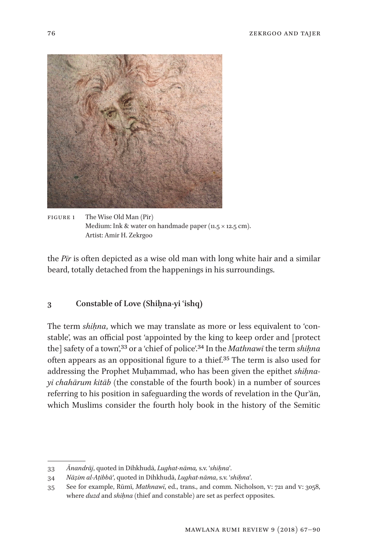

FIGURE 1 The Wise Old Man (Pīr) Medium: Ink & water on handmade paper  $(n.5 \times 12.5 \text{ cm})$ . Artist: Amir H. Zekrgoo

the *Pīr* is often depicted as a wise old man with long white hair and a similar beard, totally detached from the happenings in his surroundings.

# **3 Constable of Love (Shiḥna-yi ʿishq)**

The term *shiḥna*, which we may translate as more or less equivalent to 'constable', was an official post 'appointed by the king to keep order and [protect the] safety of a town',33 or a 'chief of police'.34 In the *Mathnawī* the term *shiḥna* often appears as an oppositional figure to a thief.35 The term is also used for addressing the Prophet Muḥammad, who has been given the epithet *shiḥnayi chahārum kitāb* (the constable of the fourth book) in a number of sources referring to his position in safeguarding the words of revelation in the Qurʾān, which Muslims consider the fourth holy book in the history of the Semitic

<sup>33</sup> *Ānandrāj*, quoted in Dihkhudā, *Lughat-nāma,* s.v. '*shiḥna*'*.*

<sup>34</sup> *Nāẓim al-Aṭibbāʾ*, quoted in Dihkhudā, *Lughat-nāma*, s.v. '*shiḥna*'*.*

<sup>35</sup> See for example, Rūmī, *Mathnawī*, ed., trans., and comm. Nicholson, V: 721 and V: 3058, where *duzd* and *shiḥna* (thief and constable) are set as perfect opposites.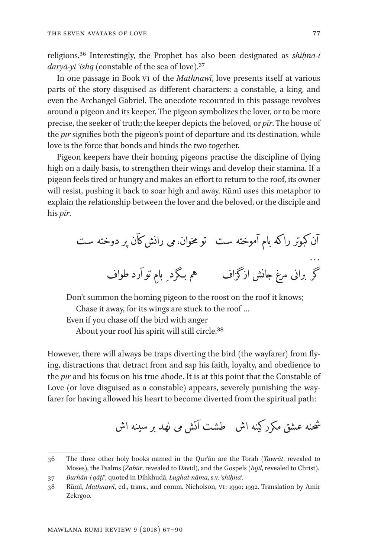religions.<sup>36</sup> Interestingly, the Prophet has also been designated as shihna-i daryā-yi 'ishq (constable of the sea of love).<sup>37</sup>

In one passage in Book VI of the *Mathnawi*, love presents itself at various parts of the story disguised as different characters: a constable, a king, and even the Archangel Gabriel. The anecdote recounted in this passage revolves around a pigeon and its keeper. The pigeon symbolizes the lover, or to be more precise, the seeker of truth; the keeper depicts the beloved, or *pīr*. The house of the *pīr* signifies both the pigeon's point of departure and its destination, while love is the force that bonds and binds the two together.

Pigeon keepers have their homing pigeons practise the discipline of flying high on a daily basis, to strengthen their wings and develop their stamina. If a pigeon feels tired or hungry and makes an effort to return to the roof, its owner will resist, pushing it back to soar high and away. Rūmī uses this metaphor to explain the relationship between the lover and the beloved, or the disciple and his *pīr*.

Don't summon the homing pigeon to the roost on the roof it knows; Chase it away, for its wings are stuck to the roof ... Even if you chase off the bird with anger

About your roof his spirit will still circle.<sup>38</sup>

However, there will always be traps diverting the bird (the wayfarer) from flying, distractions that detract from and sap his faith, loyalty, and obedience to the pir and his focus on his true abode. It is at this point that the Constable of Love (or love disguised as a constable) appears, severely punishing the wayfarer for having allowed his heart to become diverted from the spiritual path:

شحنه عشق مکررکینه اش طشت آتش می نهد بر سینه اش

The three other holy books named in the Qur'an are the Torah (Tawrat, revealed to 36 Moses), the Psalms (Zabūr, revealed to David), and the Gospels (Injū, revealed to Christ).

Burhān-i qāṭi', quoted in Dihkhudā, Lughat-nāma, s.v. 'shiḥna'. 37

<sup>38</sup> Rūmī, Mathnawī, ed., trans., and comm. Nicholson, VI: 1990; 1992. Translation by Amir Zekrgoo.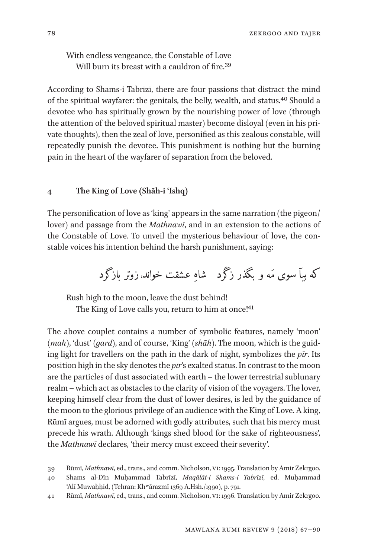With endless vengeance, the Constable of Love Will burn its breast with a cauldron of fire.<sup>39</sup>

According to Shams-i Tabrīzī, there are four passions that distract the mind of the spiritual wayfarer: the genitals, the belly, wealth, and status.40 Should a devotee who has spiritually grown by the nourishing power of love (through the attention of the beloved spiritual master) become disloyal (even in his private thoughts), then the zeal of love, personified as this zealous constable, will repeatedly punish the devotee. This punishment is nothing but the burning pain in the heart of the wayfarer of separation from the beloved.

# **4 The King of Love (Shāh-i ʿIshq)**

The personification of love as 'king' appears in the same narration (the pigeon/ lover) and passage from the *Mathnawī*, and in an extension to the actions of the Constable of Love. To unveil the mysterious behaviour of love, the constable voices his intention behind the harsh punishment, saying:

د ر گ ز �� �ا ن ر � ت � و ز �د، ن ا � و خ ت � �� ق ش � ِ �ع��� ش �ا ه د ��� ر ِگ ز �� ر ن �� گ ن �� مَ�ه و � �ی � ��سو آ � ی ب� �ک�ه �

Rush high to the moon, leave the dust behind! The King of Love calls you, return to him at once!<sup>41</sup>

The above couplet contains a number of symbolic features, namely 'moon' (*mah*), 'dust' (*gard*), and of course, 'King' (*shāh*). The moon, which is the guiding light for travellers on the path in the dark of night, symbolizes the *pīr*. Its position high in the sky denotes the *pīr*'s exalted status. In contrast to the moon are the particles of dust associated with earth – the lower terrestrial sublunary realm – which act as obstacles to the clarity of vision of the voyagers. The lover, keeping himself clear from the dust of lower desires, is led by the guidance of the moon to the glorious privilege of an audience with the King of Love. A king, Rūmī argues, must be adorned with godly attributes, such that his mercy must precede his wrath. Although 'kings shed blood for the sake of righteousness', the *Mathnawī* declares, 'their mercy must exceed their severity'.

<sup>39</sup> Rūmī, *Mathnawī*, ed., trans., and comm. Nicholson, VI: 1995. Translation by Amir Zekrgoo.

<sup>40</sup> Shams al-Dīn Muḥammad Tabrīzī, *Maqālāt-i Shams-i Tabrīzī*, ed. Muḥammad ʿAlī Muwaḥḥid, (Tehran: Khwārazmī 1369 A.Hsh./1990), p. 791.

<sup>41</sup> Rūmī, *Mathnawī*, ed., trans., and comm. Nicholson, VI: 1996. Translation by Amir Zekrgoo.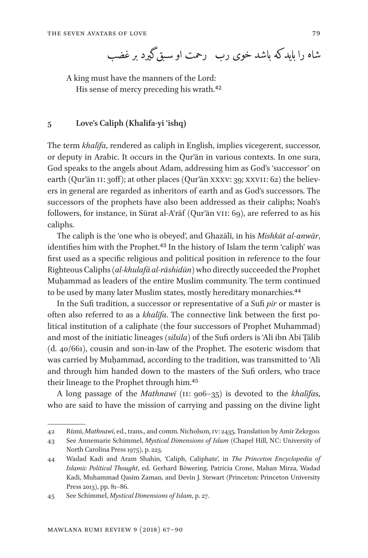ن � ن� �� غ��� نر � یرد � �� گ ت � ن� ت او �����س�� �م�� �ی <sup>ر</sup> ن� رح و خ ش �د � �ا ��� ن �د �ک�ه � ی �ا � ن ا � ش �ا ه ر ���

A king must have the manners of the Lord: His sense of mercy preceding his wrath.<sup>42</sup>

### **5 Love's Caliph (Khalīfa-yi ʿishq)**

The term *khalīfa*, rendered as caliph in English, implies vicegerent, successor, or deputy in Arabic. It occurs in the Qurʾān in various contexts. In one sura, God speaks to the angels about Adam, addressing him as God's 'successor' on earth (Qur'ān II: 30ff); at other places (Qur'ān XXXV: 39; XXVII: 62) the believers in general are regarded as inheritors of earth and as God's successors. The successors of the prophets have also been addressed as their caliphs; Noah's followers, for instance, in Sūrat al-Aʿrāf (Qurʾān VII: 69), are referred to as his caliphs.

The caliph is the 'one who is obeyed', and Ghazālī, in his *Mishkāt al-anwār*, identifies him with the Prophet.<sup>43</sup> In the history of Islam the term 'caliph' was first used as a specific religious and political position in reference to the four Righteous Caliphs (*al-khulafā al-rāshidūn*) who directly succeeded the Prophet Muḥammad as leaders of the entire Muslim community. The term continued to be used by many later Muslim states, mostly hereditary monarchies.<sup>44</sup>

In the Sufi tradition, a successor or representative of a Sufi *pīr* or master is often also referred to as a *khalīfa*. The connective link between the first political institution of a caliphate (the four successors of Prophet Muhammad) and most of the initiatic lineages (*silsila*) of the Sufi orders is 'Alī ibn Abī Ṭālib (d. 40/661), cousin and son-in-law of the Prophet. The esoteric wisdom that was carried by Muḥammad, according to the tradition, was transmitted to ʿAlī and through him handed down to the masters of the Sufi orders, who trace their lineage to the Prophet through him.45

A long passage of the *Mathnawī* (II: 906–35) is devoted to the *khalīfa*s, who are said to have the mission of carrying and passing on the divine light

<sup>42</sup> Rūmī, *Mathnawī*, ed., trans., and comm. Nicholson, IV: 2435. Translation by Amir Zekrgoo.

<sup>43</sup> See Annemarie Schimmel, *Mystical Dimensions of Islam* (Chapel Hill, NC: University of North Carolina Press 1975), p. 223.

<sup>44</sup> Wadad Kadi and Aram Shahin, 'Caliph, Caliphate', in *The Princeton Encyclopedia of Islamic Political Thought*, ed. Gerhard Böwering, Patricia Crone, Mahan Mirza, Wadad Kadi, Muhammad Qasim Zaman, and Devin J. Stewart (Princeton: Princeton University Press 2013), pp. 81–86.

<sup>45</sup> See Schimmel, *Mystical Dimensions of Islam*, p. 27.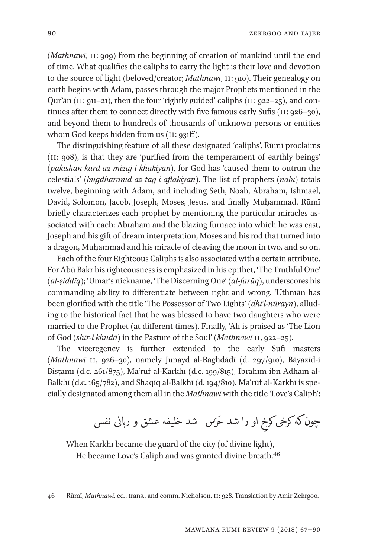(*Mathnawī*, II: 909) from the beginning of creation of mankind until the end of time. What qualifies the caliphs to carry the light is their love and devotion to the source of light (beloved/creator; *Mathnawī*, II: 910). Their genealogy on earth begins with Adam, passes through the major Prophets mentioned in the Qurʾān (II: 911–21), then the four 'rightly guided' caliphs (II: 922–25), and continues after them to connect directly with five famous early Sufis (II: 926–30), and beyond them to hundreds of thousands of unknown persons or entities whom God keeps hidden from us (II: 931ff).

The distinguishing feature of all these designated 'caliphs', Rūmī proclaims (II: 908), is that they are 'purified from the temperament of earthly beings' (*pākishān kard az mizāj-i khākiyān*), for God has 'caused them to outrun the celestials' (*bugdharānīd az tag-i aflākiyān*). The list of prophets (*nabī)* totals twelve, beginning with Adam, and including Seth, Noah, Abraham, Ishmael, David, Solomon, Jacob, Joseph, Moses, Jesus, and finally Muḥammad. Rūmī briefly characterizes each prophet by mentioning the particular miracles associated with each: Abraham and the blazing furnace into which he was cast, Joseph and his gift of dream interpretation, Moses and his rod that turned into a dragon, Muḥammad and his miracle of cleaving the moon in two, and so on.

Each of the four Righteous Caliphs is also associated with a certain attribute. For Abū Bakr his righteousness is emphasized in his epithet, 'The Truthful One' (*al-ṣiddīq*); ʿUmar's nickname, 'The Discerning One' (*al-farūq*), underscores his commanding ability to differentiate between right and wrong. 'Uthmān has been glorified with the title 'The Possessor of Two Lights' (*dhīʾl-nūrayn*), alluding to the historical fact that he was blessed to have two daughters who were married to the Prophet (at different times). Finally, ʿAlī is praised as 'The Lion of God (*shīr-i khudā*) in the Pasture of the Soul' (*Mathnawī* II, 922–25).

The viceregency is further extended to the early Sufi masters (*Mathnawī* II, 926–30), namely Junayd al-Baghdādī (d. 297/910), Bāyazīd-i Bisṭāmī (d.c. 261/875), Maʿrūf al-Karkhī (d.c. 199/815), Ibrāhīm ibn Adham al-Balkhī (d.c. 165/782), and Shaqīq al-Balkhī (d. 194/810). Maʿrūf al-Karkhī is specially designated among them all in the *Mathnawī* with the title 'Love's Caliph':

> یس شد خلیفه عشق و ربانی نفس ف ن ن ن � ف ر چون که کرخی کرخ او را شد حَ ن ن

When Karkhī became the guard of the city (of divine light), He became Love's Caliph and was granted divine breath.<sup>46</sup>

<sup>46</sup> Rūmī, *Mathnawī*, ed., trans., and comm. Nicholson, II: 928. Translation by Amir Zekrgoo.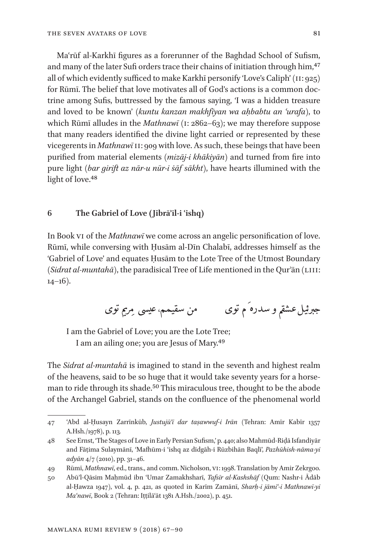Maʿrūf al-Karkhī figures as a forerunner of the Baghdad School of Sufism, and many of the later Sufi orders trace their chains of initiation through him,<sup>47</sup> all of which evidently sufficed to make Karkhī personify 'Love's Caliph' (II: 925) for Rūmī. The belief that love motivates all of God's actions is a common doctrine among Sufis, buttressed by the famous saying, 'I was a hidden treasure and loved to be known' (*kuntu kanzan makhfīyan wa aḥbabtu an ʿurafa*), to which Rūmī alludes in the *Mathnawī* (1: 2862–63); we may therefore suppose that many readers identified the divine light carried or represented by these vicegerents in *Mathnawī* II: 909 with love. As such, these beings that have been purified from material elements (*mizāj-i khākiyān*) and turned from fire into pure light (*bar girift az nār-u nūr-i ṡāf sākht*), have hearts illumined with the light of love.<sup>48</sup>

# **6 The Gabriel of Love (Jibrāʾīl-i ʿishq)**

In Book VI of the *Mathnawī* we come across an angelic personification of love. Rūmī, while conversing with Ḥusām al-Dīn Chalabī, addresses himself as the 'Gabriel of Love' and equates Ḥusām to the Lote Tree of the Utmost Boundary (*Sidrat al-muntahā*), the paradisical Tree of Life mentioned in the Qurʾān (LIII:  $14-16$ ).

�ی و ت � یم � �مر ��سی ِ ی م، ع��� ��م� ی �� ق ن ��س� �ی �م�� و ت � م ِ ه <sup>م</sup> <sup>و</sup> ��س�د <sup>ر</sup> ت ش �� �ل �ع��� ی � ئ � نر ج��

I am the Gabriel of Love; you are the Lote Tree; I am an ailing one; you are Jesus of Mary.49

The *Sidrat al-muntahā* is imagined to stand in the seventh and highest realm of the heavens, said to be so huge that it would take seventy years for a horseman to ride through its shade.<sup>50</sup> This miraculous tree, thought to be the abode of the Archangel Gabriel, stands on the confluence of the phenomenal world

<sup>47</sup> ʿAbd al-Ḥusayn Zarrīnkūb, *Justujūʾī dar taṣawwuf-i Irān* (Tehran: Amīr Kabīr 1357 A.Hsh./1978), p. 113*.*

<sup>48</sup> See Ernst, 'The Stages of Love in Early Persian Sufism,' p. 440; also Mahmūd-Riḍā Isfandiyār and Fāṭima Sulaymānī, 'Mafhūm-i ʿishq az dīdgāh-i Rūzbihān Baqlī', *Pazhūhish-nāma-yi adyān* 4/7 (2010), pp. 31–46.

<sup>49</sup> Rūmī, *Mathnawī*, ed., trans., and comm. Nicholson, VI: 1998. Translation by Amir Zekrgoo.

<sup>50</sup> Abūʾl-Qāsim Maḥmūd ibn ʿUmar Zamakhsharī, *Tafsīr al-Kashshāf* (Qum: Nashr-i Ādāb al-Ḥawza 1947), vol. 4, p. 421, as quoted in Karīm Zamānī, *Sharḥ-i jāmiʿ-i Mathnawī-yi Maʿnawī*, Book 2 (Tehran: Iṭṭilāʿāt 1381 A.Hsh./2002), p. 451.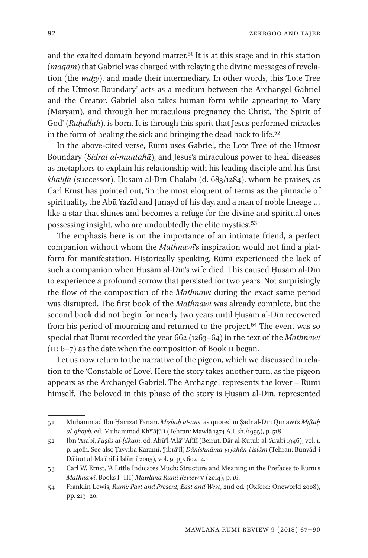and the exalted domain beyond matter.51 It is at this stage and in this station (*maqām*) that Gabriel was charged with relaying the divine messages of revelation (the *waḥy*), and made their intermediary. In other words, this 'Lote Tree of the Utmost Boundary' acts as a medium between the Archangel Gabriel and the Creator. Gabriel also takes human form while appearing to Mary (Maryam), and through her miraculous pregnancy the Christ, 'the Spirit of God' (*Rūḥullāh*), is born. It is through this spirit that Jesus performed miracles in the form of healing the sick and bringing the dead back to life.52

In the above-cited verse, Rūmī uses Gabriel, the Lote Tree of the Utmost Boundary (*Sidrat al-muntahā*), and Jesus's miraculous power to heal diseases as metaphors to explain his relationship with his leading disciple and his first *khalīfa* (successor), Ḥusām al-Dīn Chalabī (d. 683/1284), whom he praises, as Carl Ernst has pointed out, 'in the most eloquent of terms as the pinnacle of spirituality, the Abū Yazīd and Junayd of his day, and a man of noble lineage … like a star that shines and becomes a refuge for the divine and spiritual ones possessing insight, who are undoubtedly the elite mystics'.53

The emphasis here is on the importance of an intimate friend, a perfect companion without whom the *Mathnawī*'s inspiration would not find a platform for manifestation. Historically speaking, Rūmī experienced the lack of such a companion when Ḥusām al-Dīn's wife died. This caused Ḥusām al-Dīn to experience a profound sorrow that persisted for two years. Not surprisingly the flow of the composition of the *Mathnawī* during the exact same period was disrupted. The first book of the *Mathnawī* was already complete, but the second book did not begin for nearly two years until Ḥusām al-Dīn recovered from his period of mourning and returned to the project.<sup>54</sup> The event was so special that Rūmī recorded the year 662 (1263–64) in the text of the *Mathnawī* (II: 6–7) as the date when the composition of Book II began.

Let us now return to the narrative of the pigeon, which we discussed in relation to the 'Constable of Love'. Here the story takes another turn, as the pigeon appears as the Archangel Gabriel. The Archangel represents the lover – Rūmī himself. The beloved in this phase of the story is Ḥusām al-Dīn, represented

<sup>51</sup> Muḥammad Ibn Ḥamzat Fanārī, *Miṣbāḥ al-uns*, as quoted in Ṣadr al-Dīn Qūnawī's *Miftāḥ al-ghayb*, ed. Muḥammad Khwājūʾī (Tehran: Mawlā 1374 A.Hsh./1995), p. 518.

<sup>52</sup> Ibn ʿArabī, *Fuṣūṣ al-ḥikam*, ed. Abūʾl-ʿAlāʾ ʿAfīfī (Beirut: Dār al-Kutub al-ʿArabī 1946), vol. 1, p. 140fn. See also Ṭayyiba Karamī, 'Jibrāʾīl', *Dānishnāma-yi jahān-i islām* (Tehran: Bunyād-i Dāʾirat al-Maʿārif-i Islāmī 2005), vol. 9, pp. 602–4.

<sup>53</sup> Carl W. Ernst, 'A Little Indicates Much: Structure and Meaning in the Prefaces to Rūmī's *Mathnawī*, Books I–III', *Mawlana Rumi Review* V (2014), p. 16.

<sup>54</sup> Franklin Lewis, *Rumi: Past and Present, East and West*, 2nd ed. (Oxford: Oneworld 2008), pp. 219–20.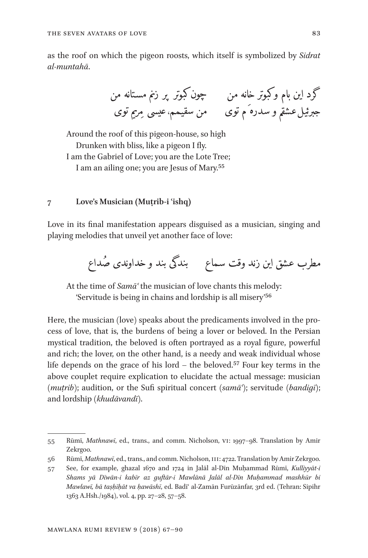as the roof on which the pigeon roosts, which itself is symbolized by Sidrat al-muntahā.

Around the roof of this pigeon-house, so high Drunken with bliss, like a pigeon I fly. I am the Gabriel of Love; you are the Lote Tree; I am an ailing one; you are Jesus of Mary.<sup>55</sup>

#### Love's Musician (Muțrib-i 'ishq)  $\overline{7}$

Love in its final manifestation appears disguised as a musician, singing and playing melodies that unveil yet another face of love:

مطرب عشق این زند وقت سماع بندگی بند و خداوندی صُداع

At the time of Sama<sup>c</sup> the musician of love chants this melody: 'Servitude is being in chains and lordship is all misery'<sup>56</sup>

Here, the musician (love) speaks about the predicaments involved in the process of love, that is, the burdens of being a lover or beloved. In the Persian mystical tradition, the beloved is often portrayed as a royal figure, powerful and rich; the lover, on the other hand, is a needy and weak individual whose life depends on the grace of his lord – the beloved.<sup>57</sup> Four key terms in the above couplet require explication to elucidate the actual message: musician (*mutrib*); audition, or the Sufi spiritual concert ( $sam\bar{a}$ ); servitude (*bandigi*); and lordship (khudāvandī).

Rūmī, Mathnawī, ed., trans., and comm. Nicholson, VI: 1997-98. Translation by Amir 55 Zekrgoo.

Rūmī, Mathnawī, ed., trans., and comm. Nicholson, III: 4722. Translation by Amir Zekrgoo. 56

See, for example, ghazal 1670 and 1724 in Jalāl al-Dīn Muhammad Rūmī, Kulliyyāt-i 57 Shams yā Dīwān-i kabīr az guftār-i Mawlānā Jalāl al-Dīn Muhammad mashhūr bi Mawlawī, bā tashīhāt va hawāshī, ed. Badī<sup>'</sup> al-Zamān Furūzānfar, 3rd ed. (Tehran: Sipihr 1363 A.Hsh./1984), vol. 4, pp. 27-28, 57-58.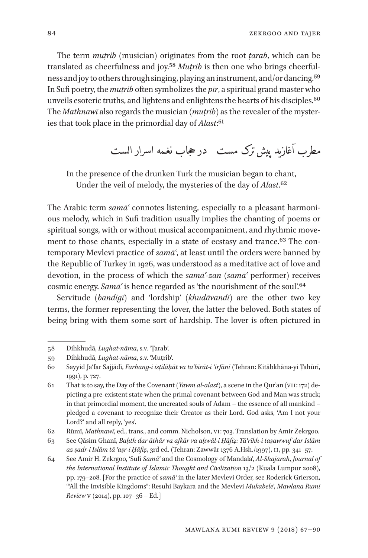The term *muṭrib* (musician) originates from the root *ṭarab*, which can be translated as cheerfulness and joy.58 *Muṭrib* is then one who brings cheerfulness and joy to others through singing, playing an instrument, and/or dancing.59 In Sufi poetry, the *muṭrib* often symbolizes the *pīr*, a spiritual grand master who unveils esoteric truths, and lightens and enlightens the hearts of his disciples.<sup>60</sup> The *Mathnawī* also regards the musician (*muṭrib*) as the revealer of the mysteries that took place in the primordial day of *Alast*:61

> غازید پیش ترک مست در حجاب نغمه اسرار الست ن ن .<br>, � ز ن آ مطرب

In the presence of the drunken Turk the musician began to chant, Under the veil of melody, the mysteries of the day of *Alast*.62

The Arabic term *samāʿ* connotes listening, especially to a pleasant harmonious melody, which in Sufi tradition usually implies the chanting of poems or spiritual songs, with or without musical accompaniment, and rhythmic movement to those chants, especially in a state of ecstasy and trance.<sup>63</sup> The contemporary Mevlevi practice of *samāʿ*, at least until the orders were banned by the Republic of Turkey in 1926, was understood as a meditative act of love and devotion, in the process of which the *samāʿ-zan* (*samāʿ* performer) receives cosmic energy. *Samāʿ* is hence regarded as 'the nourishment of the soul'.64

Servitude (*bandigī*) and 'lordship' (*khudāvandī*) are the other two key terms, the former representing the lover, the latter the beloved. Both states of being bring with them some sort of hardship. The lover is often pictured in

<sup>58</sup> Dihkhudā, *Lughat-nāma*, s.v. 'Ṭarab'.

<sup>59</sup> Dihkhudā, *Lughat-nāma*, s.v. 'Muṭrib'.

<sup>60</sup> Sayyid Jaʿfar Sajjādī, *Farhang-i isṭilāḥāt va taʿbīrāt-i ʿirfānī* (Tehran: Kitābkhāna-yi Ṭahūrī, 1991), p. 727.

<sup>61</sup> That is to say, the Day of the Covenant (*Yawm al-alast*), a scene in the Qurʾan (VII: 172) depicting a pre-existent state when the primal covenant between God and Man was struck; in that primordial moment, the uncreated souls of Adam – the essence of all mankind – pledged a covenant to recognize their Creator as their Lord. God asks, 'Am I not your Lord?' and all reply, 'yes'.

<sup>62</sup> Rūmī, *Mathnawī*, ed., trans., and comm. Nicholson, VI: 703. Translation by Amir Zekrgoo.

<sup>63</sup> See Qāsim Ghanī, *Baḥth dar āthār va afkār va aḥwāl-i Ḥāfiẓ: Tāʿrīkh-i taṣawwuf dar Islām az ṣadr-i Islām tā ʿaṣr-i Ḥāfiẓ*, 3rd ed. (Tehran: Zawwār 1376 A.Hsh./1997), II, pp. 341–57.

<sup>64</sup> See Amir H. Zekrgoo, 'Sufi *Samāʿ* and the Cosmology of Mandala', *Al-Shajarah*, *Journal of the International Institute of Islamic Thought and Civilization* 13/2 (Kuala Lumpur 2008), pp. 179–208. [For the practice of *samāʿ* in the later Mevlevi Order, see Roderick Grierson, '"All the Invisible Kingdoms": Resuhi Baykara and the Mevlevi *Mukabele*', *Mawlana Rumi Review* V (2014), pp. 107–36 – Ed.]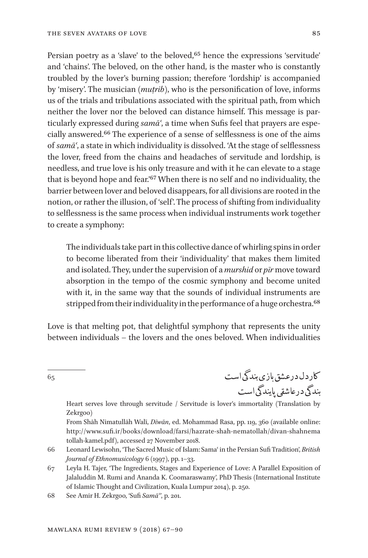Persian poetry as a 'slave' to the beloved,<sup>65</sup> hence the expressions 'servitude' and 'chains'. The beloved, on the other hand, is the master who is constantly troubled by the lover's burning passion; therefore 'lordship' is accompanied by 'misery'. The musician (*muṭrib*), who is the personification of love, informs us of the trials and tribulations associated with the spiritual path, from which neither the lover nor the beloved can distance himself. This message is particularly expressed during *samāʿ*, a time when Sufis feel that prayers are especially answered.66 The experience of a sense of selflessness is one of the aims of *samāʿ*, a state in which individuality is dissolved. 'At the stage of selflessness the lover, freed from the chains and headaches of servitude and lordship, is needless, and true love is his only treasure and with it he can elevate to a stage that is beyond hope and fear.'67 When there is no self and no individuality, the barrier between lover and beloved disappears, for all divisions are rooted in the notion, or rather the illusion, of 'self'. The process of shifting from individuality to selflessness is the same process when individual instruments work together to create a symphony:

The individuals take part in this collective dance of whirling spins in order to become liberated from their 'individuality' that makes them limited and isolated. They, under the supervision of a *murshid* or *pīr* move toward absorption in the tempo of the cosmic symphony and become united with it, in the same way that the sounds of individual instruments are stripped from their individuality in the performance of a huge orchestra.<sup>68</sup>

Love is that melting pot, that delightful symphony that represents the unity between individuals – the lovers and the ones beloved. When individualities

 $\frac{1}{65}$ ت کاردل درعشق بازی بندگی است ز�ا ن � ر<br>ندگی درعاشقی پایندگی است �

 Heart serves love through servitude / Servitude is lover's immortality (Translation by Zekrgoo)

 From Shāh Nimatullāh Walī, *Dīwān*, ed. Mohammad Rasa, pp. 119, 360 (available online: http://www.sufi.ir/books/download/farsi/hazrate-shah-nematollah/divan-shahnema tollah-kamel.pdf), accessed 27 November 2018.

- 66 Leonard Lewisohn, 'The Sacred Music of Islam: Samaʿ in the Persian Sufi Tradition', *British Journal of Ethnomusicology* 6 (1997), pp. 1–33.
- 67 Leyla H. Tajer, 'The Ingredients, Stages and Experience of Love: A Parallel Exposition of Jalaluddin M. Rumi and Ananda K. Coomaraswamy', PhD Thesis (International Institute of Islamic Thought and Civilization, Kuala Lumpur 2014), p. 250.

<sup>68</sup> See Amir H. Zekrgoo, 'Sufi *Samāʿ'*, p. 201.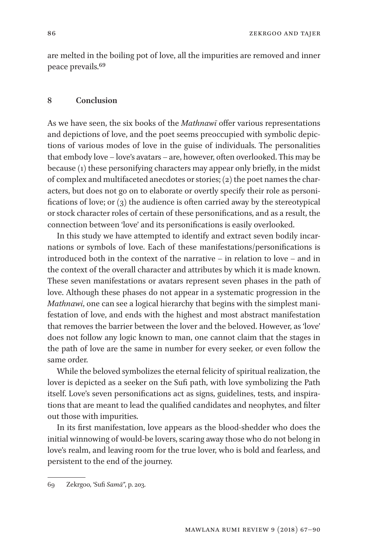are melted in the boiling pot of love, all the impurities are removed and inner peace prevails.69

### **8 Conclusion**

As we have seen, the six books of the *Mathnawī* offer various representations and depictions of love, and the poet seems preoccupied with symbolic depictions of various modes of love in the guise of individuals. The personalities that embody love – love's avatars – are, however, often overlooked. This may be because (1) these personifying characters may appear only briefly, in the midst of complex and multifaceted anecdotes or stories; (2) the poet names the characters, but does not go on to elaborate or overtly specify their role as personifications of love; or (3) the audience is often carried away by the stereotypical or stock character roles of certain of these personifications, and as a result, the connection between 'love' and its personifications is easily overlooked.

In this study we have attempted to identify and extract seven bodily incarnations or symbols of love. Each of these manifestations/personifications is introduced both in the context of the narrative – in relation to love – and in the context of the overall character and attributes by which it is made known. These seven manifestations or avatars represent seven phases in the path of love. Although these phases do not appear in a systematic progression in the *Mathnawi*, one can see a logical hierarchy that begins with the simplest manifestation of love, and ends with the highest and most abstract manifestation that removes the barrier between the lover and the beloved. However, as 'love' does not follow any logic known to man, one cannot claim that the stages in the path of love are the same in number for every seeker, or even follow the same order.

While the beloved symbolizes the eternal felicity of spiritual realization, the lover is depicted as a seeker on the Sufi path, with love symbolizing the Path itself. Love's seven personifications act as signs, guidelines, tests, and inspirations that are meant to lead the qualified candidates and neophytes, and filter out those with impurities.

In its first manifestation, love appears as the blood-shedder who does the initial winnowing of would-be lovers, scaring away those who do not belong in love's realm, and leaving room for the true lover, who is bold and fearless, and persistent to the end of the journey.

<sup>69</sup> Zekrgoo, 'Sufi *Samā"*, p. 203.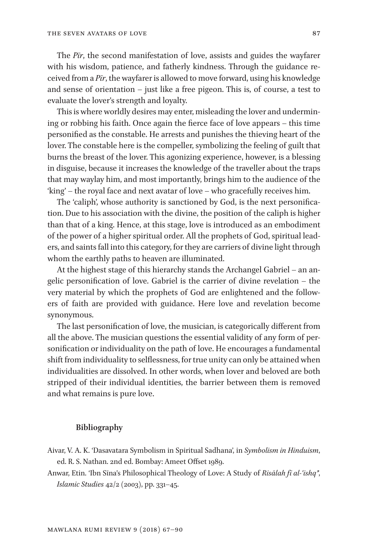The *Pīr*, the second manifestation of love, assists and guides the wayfarer with his wisdom, patience, and fatherly kindness. Through the guidance received from a *Pīr*, the wayfarer is allowed to move forward, using his knowledge and sense of orientation – just like a free pigeon. This is, of course, a test to evaluate the lover's strength and loyalty.

This is where worldly desires may enter, misleading the lover and undermining or robbing his faith. Once again the fierce face of love appears – this time personified as the constable. He arrests and punishes the thieving heart of the lover. The constable here is the compeller, symbolizing the feeling of guilt that burns the breast of the lover. This agonizing experience, however, is a blessing in disguise, because it increases the knowledge of the traveller about the traps that may waylay him, and most importantly, brings him to the audience of the 'king' – the royal face and next avatar of love – who gracefully receives him.

The 'caliph', whose authority is sanctioned by God, is the next personification. Due to his association with the divine, the position of the caliph is higher than that of a king. Hence, at this stage, love is introduced as an embodiment of the power of a higher spiritual order. All the prophets of God, spiritual leaders, and saints fall into this category, for they are carriers of divine light through whom the earthly paths to heaven are illuminated.

At the highest stage of this hierarchy stands the Archangel Gabriel – an angelic personification of love. Gabriel is the carrier of divine revelation – the very material by which the prophets of God are enlightened and the followers of faith are provided with guidance. Here love and revelation become synonymous.

The last personification of love, the musician, is categorically different from all the above. The musician questions the essential validity of any form of personification or individuality on the path of love. He encourages a fundamental shift from individuality to selflessness, for true unity can only be attained when individualities are dissolved. In other words, when lover and beloved are both stripped of their individual identities, the barrier between them is removed and what remains is pure love.

#### **Bibliography**

- Aivar, V. A. K. 'Dasavatara Symbolism in Spiritual Sadhana', in *Symbolism in Hinduism*, ed. R. S. Nathan. 2nd ed. Bombay: Ameet Offset 1989.
- Anwar, Etin. 'Ibn Sīna's Philosophical Theology of Love: A Study of *Risālah fī al-ʿishqʾ*', *Islamic Studies* 42/2 (2003), pp. 331–45.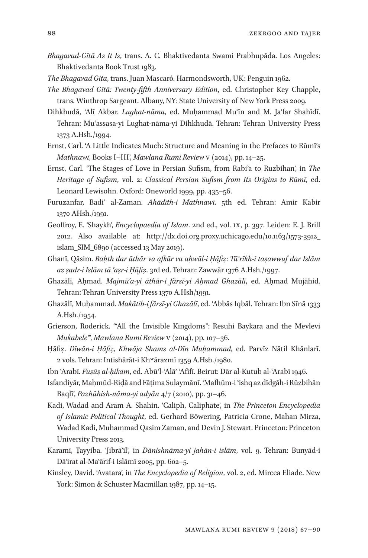- *Bhagavad-Gītā As It Is*, trans. A. C. Bhaktivedanta Swami Prabhupāda. Los Angeles: Bhaktivedanta Book Trust 1983.
- *The Bhagavad Gita*, trans. Juan Mascaró. Harmondsworth, UK: Penguin 1962.
- *The Bhagavad Gītā: Twenty-fifth Anniversary Edition*, ed. Christopher Key Chapple, trans. Winthrop Sargeant. Albany, NY: State University of New York Press 2009.
- Dihkhudā, ʿAlī Akbar. *Lughat-nāma*, ed. Muḥammad Muʿīn and M. Jaʿfar Shahīdī. Tehran: Muʿassasa-yi Lughat-nāma-yi Dihkhudā. Tehran: Tehran University Press 1373 A.Hsh./1994.
- Ernst, Carl. 'A Little Indicates Much: Structure and Meaning in the Prefaces to Rūmī's *Mathnawī*, Books I–III', *Mawlana Rumi Review* V (2014), pp. 14–25.
- Ernst, Carl. 'The Stages of Love in Persian Sufism, from Rabiʾa to Ruzbihan', in *The Heritage of Sufism*, vol. 2: *Classical Persian Sufism from Its Origins to Rūmī*, ed. Leonard Lewisohn. Oxford: Oneworld 1999, pp. 435–56.
- Furuzanfar, Badiʿ al-Zaman. *Ahādīth-i Mathnawī*. 5th ed. Tehran: Amir Kabir 1370 AHsh./1991.
- Geoffroy, E. 'Shaykh', *Encyclopaedia of Islam*. 2nd ed., vol. IX, p. 397. Leiden: E. J. Brill 2012. Also available at: http://dx.doi.org.proxy.uchicago.edu/10.1163/1573-3912\_ islam\_SIM\_6890 (accessed 13 May 2019).
- Ghanī, Qāsim. *Baḥth dar āthār va afkār va aḥwāl-i Ḥāfiẓ: Tāʿrīkh-i taṣawwuf dar Islām az ṣadr-i Islām tā ʿaṣr-i Ḥāfiẓ*. 3rd ed. Tehran: Zawwār 1376 A.Hsh./1997.
- Ghazālī, Aḥmad. *Majmūʿa-yi āthār-i fārsī-yi Aḥmad Ghazālī*, ed. Aḥmad Mujāhid. Tehran: Tehran University Press 1370 A.Hsh/1991.
- Ghazālī, Muḥammad. *Makātib-i fārsī-yi Ghazālī*, ed. ʿAbbās Iqbāl. Tehran: Ibn Sīnā 1333 A.Hsh./1954.
- Grierson, Roderick. '"All the Invisible Kingdoms": Resuhi Baykara and the Mevlevi *Mukabele'*", *Mawlana Rumi Review* V (2014), pp. 107–36.
- Ḥāfiẓ. *Dīwān-i Ḥāfiẓ, Khwāja Shams al-Dīn Muḥammad*, ed. Parvīz Nātil Khānlarī. 2 vols. Tehran: Intishārāt-i Khwārazmī 1359 A.Hsh./1980.
- Ibn ʿArabī. *Fuṣūṣ al-ḥikam*, ed. Abūʾl-ʿAlāʾ ʿAfīfī. Beirut: Dār al-Kutub al-ʿArabī 1946.
- Isfandiyār, Maḥmūd-Riḍā and Fāṭima Sulaymānī. 'Mafhūm-i ʿishq az dīdgāh-i Rūzbihān Baqlī', *Pazhūhish-nāma-yi adyān* 4/7 (2010), pp. 31–46.
- Kadi, Wadad and Aram A. Shahin. 'Caliph, Caliphate', in *The Princeton Encyclopedia of Islamic Political Thought*, ed. Gerhard Böwering, Patricia Crone, Mahan Mirza, Wadad Kadi, Muhammad Qasim Zaman, and Devin J. Stewart. Princeton: Princeton University Press 2013.
- Karamī, Ṭayyiba. 'Jibrāʾīl', in *Dānishnāma-yi jahān-i islām*, vol. 9. Tehran: Bunyād-i Dāʾirat al-Maʿārif-i Islāmī 2005, pp. 602–5.
- Kinsley, David. 'Avatara', in *The Encyclopedia of Religion*, vol. 2, ed. Mircea Eliade. New York: Simon & Schuster Macmillan 1987, pp. 14–15.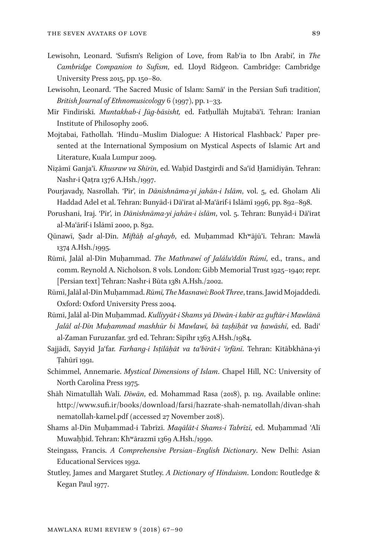- Lewisohn, Leonard. 'Sufism's Religion of Love, from Rabʿia to Ibn Arabi', in *The Cambridge Companion to Sufism*, ed. Lloyd Ridgeon. Cambridge: Cambridge University Press 2015, pp. 150–80.
- Lewisohn, Leonard. 'The Sacred Music of Islam: Samāʿ in the Persian Sufi tradition', *British Journal of Ethnomusicology* 6 (1997), pp. 1–33.
- Mīr Findiriskī. *Muntakhab-i Jūg-bāsisht,* ed. Fatḥullāh Mujtabāʾī. Tehran: Iranian Institute of Philosophy 2006.
- Mojtabai, Fathollah. 'Hindu–Muslim Dialogue: A Historical Flashback.' Paper presented at the International Symposium on Mystical Aspects of Islamic Art and Literature, Kuala Lumpur 2009.
- Niẓāmī Ganjaʾī. *Khusraw va Shīrīn*, ed. Waḥīd Dastgirdī and Saʿīd Ḥamīdiyān. Tehran: Nashr-i Qaṭra 1376 A.Hsh./1997.
- Pourjavady, Nasrollah. 'Pīr', in *Dānishnāma-yi jahān-i Islām*, vol. 5, ed. Gholam Ali Haddad Adel et al. Tehran: Bunyād-i Dāʾirat al-Maʿārif-i Islāmī 1996, pp. 892–898.
- Porushani, Iraj. 'Pīr', in *Dānishnāma-yi jahān-i islām*, vol. 5. Tehran: Bunyād-i Dāʾirat al-Maʿārif-i Islāmī 2000, p. 892.
- Qūnawī, Ṣadr al-Dīn. *Miftāḥ al-ghayb*, ed. Muḥammad Khwājūʾī. Tehran: Mawlā 1374 A.Hsh./1995.
- Rūmī, Jalāl al-Dīn Muḥammad. *The Mathnawí of Jaláluʾddín Rúmí*, ed., trans., and comm. Reynold A. Nicholson. 8 vols. London: Gibb Memorial Trust 1925–1940; repr. [Persian text] Tehran: Nashr-i Būta 1381 A.Hsh./2002.
- Rūmī, Jalāl al-Dīn Muḥammad. *Rūmī, The Masnawi: Book Three*, trans. Jawid Mojaddedi. Oxford: Oxford University Press 2004.
- Rūmī, Jalāl al-Dīn Muḥammad. *Kulliyyāt-i Shams yā Dīwān-i kabīr az guftār-i Mawlānā Jalāl al-Dīn Muḥammad mashhūr bi Mawlawī, bā taṣḥīḥāt va ḥawāshī*, ed. Badiʿ al-Zaman Furuzanfar. 3rd ed. Tehran: Sipihr 1363 A.Hsh./1984.
- Sajjādī, Sayyid Jaʿfar. *Farhang-i Isṭilāḥāt va taʿbīrāt-i ʿirfānī*. Tehran: Kitābkhāna-yi Ṭahūrī 1991.
- Schimmel, Annemarie. *Mystical Dimensions of Islam*. Chapel Hill, NC: University of North Carolina Press 1975.
- Shāh Nimatullāh Walī. *Dīwān*, ed. Mohammad Rasa (2018), p. 119. Available online: http://www.sufi.ir/books/download/farsi/hazrate-shah-nematollah/divan-shah nematollah-kamel.pdf (accessed 27 November 2018).
- Shams al-Dīn Muḥammad-i Tabrīzī. *Maqālāt-i Shams-i Tabrīzī*, ed. Muḥammad ʿAlī Muwaḥḥid. Tehran: Khwārazmī 1369 A.Hsh./1990.
- Steingass, Francis. *A Comprehensive Persian–English Dictionary*. New Delhi: Asian Educational Services 1992.
- Stutley, James and Margaret Stutley. *A Dictionary of Hinduism*. London: Routledge & Kegan Paul 1977.